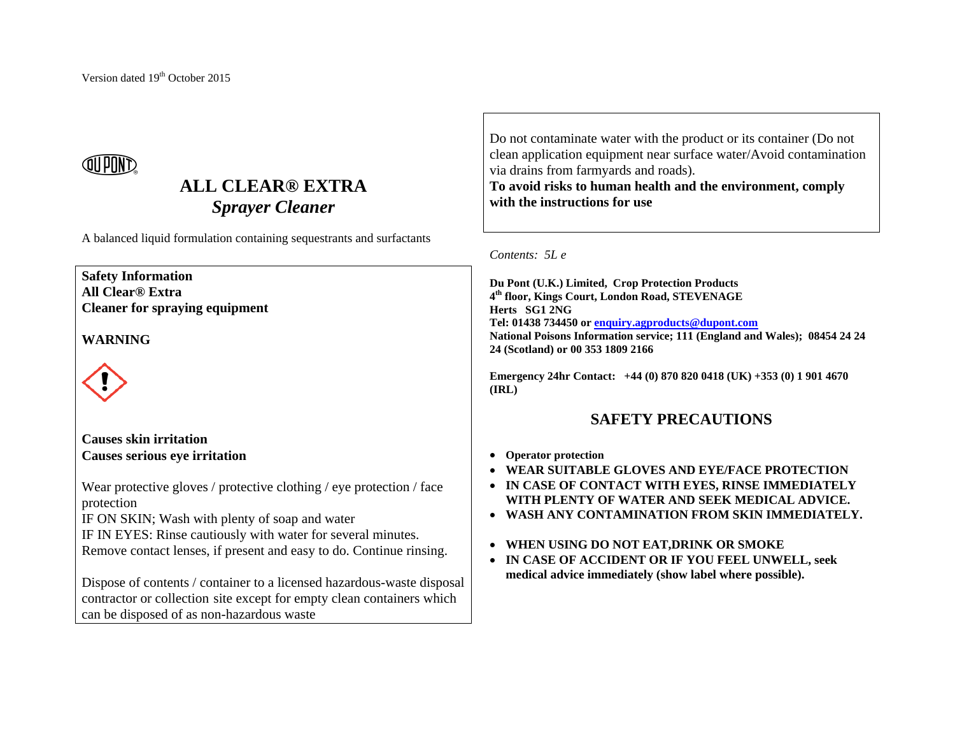# QN PUN*e*

## **ALL CLEAR® EXTRA***Sprayer Cleaner*

A balanced liquid formulation containing sequestrants and surfactants

## **Safety Information**

**All Clear® Extra Cleaner for spraying equipment** 

### **WARNING**



### **Causes skin irritation Causes serious eye irritation**

Wear protective gloves / protective clothing / eye protection / face protection

IF ON SKIN; Wash with plenty of soap and water

IF IN EYES: Rinse cautiously with water for several minutes. Remove contact lenses, if present and easy to do. Continue rinsing.

Dispose of contents / container to a licensed hazardous-waste disposal contractor or collection site except for empty clean containers which can be disposed of as non-hazardous waste

Do not contaminate water with the product or its container (Do not clean application equipment near surface water/Avoid contamination via drains from farmyards and roads).

**To avoid risks to human health and the environment, comply with the instructions for use**

#### *Contents: 5L e*

**Du Pont (U.K.) Limited, Crop Protection Products <sup>4</sup>th floor, Kings Court, London Road, STEVENAGE Herts SG1 2NG Tel: 01438 734450 or enquiry.agproducts@dupont.com National Poisons Information service; 111 (England and Wales); 08454 24 24 24 (Scotland) or 00 353 1809 2166** 

**Emergency 24hr Contact: +44 (0) 870 820 0418 (UK) +353 (0) 1 901 4670 (IRL)** 

### **SAFETY PRECAUTIONS**

- **Operator protection**
- **WEAR SUITABLE GLOVES AND EYE/FACE PROTECTION**
- **IN CASE OF CONTACT WITH EYES, RINSE IMMEDIATELY WITH PLENTY OF WATER AND SEEK MEDICAL ADVICE.**
- **WASH ANY CONTAMINATION FROM SKIN IMMEDIATELY.**
- **WHEN USING DO NOT EAT,DRINK OR SMOKE**
- **IN CASE OF ACCIDENT OR IF YOU FEEL UNWELL, seek medical advice immediately (show label where possible).**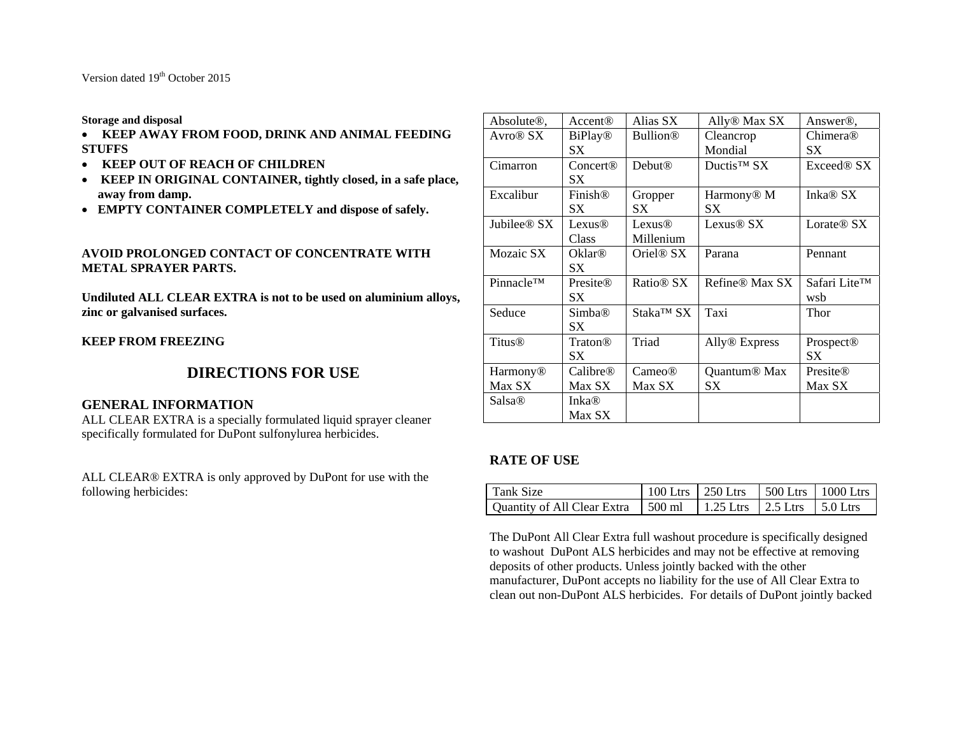Version dated 19<sup>th</sup> October 2015

**Storage and disposal** 

- **KEEP AWAY FROM FOOD, DRINK AND ANIMAL FEEDING STUFFS**
- **KEEP OUT OF REACH OF CHILDREN**
- **KEEP IN ORIGINAL CONTAINER, tightly closed, in a safe place, away from damp.**
- **EMPTY CONTAINER COMPLETELY and dispose of safely.**

#### **AVOID PROLONGED CONTACT OF CONCENTRATE WITH METAL SPRAYER PARTS.**

**Undiluted ALL CLEAR EXTRA is not to be used on aluminium alloys, zinc or galvanised surfaces.** 

**KEEP FROM FREEZING** 

### **DIRECTIONS FOR USE**

#### **GENERAL INFORMATION**

ALL CLEAR EXTRA is a specially formulated liquid sprayer cleaner specifically formulated for DuPont sulfonylurea herbicides.

ALL CLEAR® EXTRA is only approved by DuPont for use with the following herbicides:

| Absolute <sup>®</sup> ,      | Accent <sup>(</sup> <sub>R</sub> ) | Alias SX              | Ally <sup>®</sup> Max SX   | Answer <sup>®</sup> .  |
|------------------------------|------------------------------------|-----------------------|----------------------------|------------------------|
| Avro <sup>®</sup> SX         | <b>BiPlay</b> <sup>®</sup>         | <b>Bullion®</b>       | Cleancrop                  | Chimera®               |
|                              | SX                                 |                       | Mondial                    | SX                     |
| Cimarron                     | Concert@                           | <b>Debut®</b>         | Ductis <sup>™</sup> SX     | Exceed <sup>®</sup> SX |
|                              | SX                                 |                       |                            |                        |
| Excalibur                    | Finish <sup>®</sup>                | Gropper               | Harmony <sup>®</sup> M     | Inka <sup>®</sup> SX   |
|                              | SХ                                 | SX                    | SХ                         |                        |
| Jubilee <sup>®</sup> SX      | Lexus®                             | Lexus <sup>®</sup>    | Lexus <sup>®</sup> SX      | Lorate <sup>®</sup> SX |
|                              | Class                              | Millenium             |                            |                        |
| Mozaic SX                    | Oklar®                             | Oriel <sup>®</sup> SX | Parana                     | Pennant                |
|                              | SX                                 |                       |                            |                        |
| <b>Pinnacle<sup>TM</sup></b> | Presite®                           | Ratio <sup>®</sup> SX | Refine <sup>®</sup> Max SX | Safari Lite™           |
|                              | SX                                 |                       |                            | wsb                    |
| Seduce                       | Simba®                             | Staka™ SX             | Taxi                       | Thor                   |
|                              | SX                                 |                       |                            |                        |
| <b>Titus®</b>                | Traton®                            | Triad                 | Ally <sup>®</sup> Express  | Prospect <sup>®</sup>  |
|                              | SX                                 |                       |                            | SX                     |
| Harmony <sup>®</sup>         | Calibre <sup>®</sup>               | Cameo <sup>®</sup>    | Quantum <sup>®</sup> Max   | Presite®               |
| Max SX                       | Max SX                             | Max SX                | SX                         | Max SX                 |
| Salsa <sup>®</sup>           | Inka®                              |                       |                            |                        |
|                              | Max SX                             |                       |                            |                        |

### **RATE OF USE**

| Tank Size                            | 100 Ltrs   250 Ltrs |                                 | $\pm$ 500 Ltrs $\pm$ 1000 Ltrs |
|--------------------------------------|---------------------|---------------------------------|--------------------------------|
| Quantity of All Clear Extra 1 500 ml |                     | 1.25 Ltrs   2.5 Ltrs   5.0 Ltrs |                                |

The DuPont All Clear Extra full washout procedure is specifically designed to washout DuPont ALS herbicides and may not be effective at removing deposits of other products. Unless jointly backed with the other manufacturer, DuPont accepts no liability for the use of All Clear Extra to clean out non-DuPont ALS herbicides. For details of DuPont jointly backed